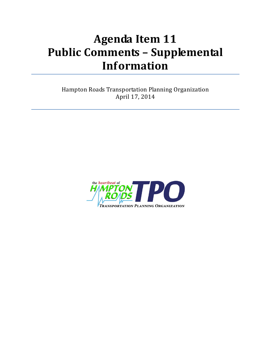## **Agenda Item 11 Public Comments – Supplemental Information**

Hampton Roads Transportation Planning Organization April 17, 2014

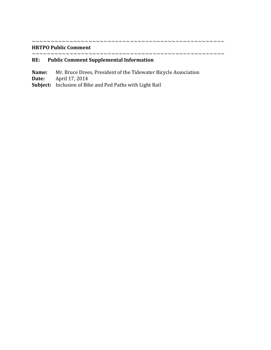## **HRTPO Public Comment**

~~~~~~~~~~~~~~~~~~~~~~~~~~~~~~~~~~~~~~~~~~~~~~~~~~~

~~~~~~~~~~~~~~~~~~~~~~~~~~~~~~~~~~~~~~~~~~~~~~~~~~~

## **RE: Public Comment Supplemental Information**

- **Name:** Mr. Bruce Drees, President of the Tidewater Bicycle Association **Date:** April 17, 2014
- **Date:** April 17, 2014
- **Subject:** Inclusion of Bike and Ped Paths with Light Rail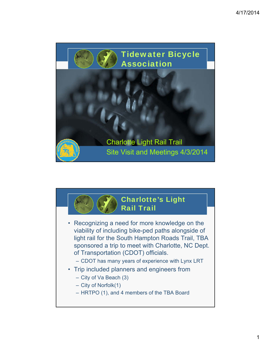